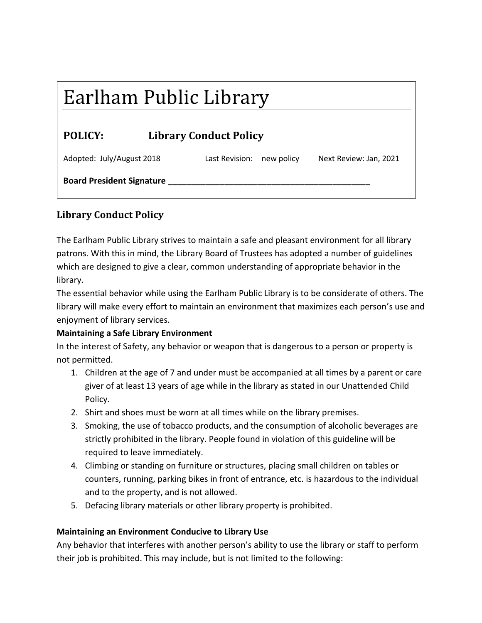# Earlham Public Library

| <b>POLICY:</b> | <b>Library Conduct Policy</b> |
|----------------|-------------------------------|
|                |                               |

| Adopted: July/August 2018        | Last Revision: new policy | Next Review: Jan, 2021 |
|----------------------------------|---------------------------|------------------------|
| <b>Board President Signature</b> |                           |                        |

# **Library Conduct Policy**

The Earlham Public Library strives to maintain a safe and pleasant environment for all library patrons. With this in mind, the Library Board of Trustees has adopted a number of guidelines which are designed to give a clear, common understanding of appropriate behavior in the library.

The essential behavior while using the Earlham Public Library is to be considerate of others. The library will make every effort to maintain an environment that maximizes each person's use and enjoyment of library services.

## **Maintaining a Safe Library Environment**

In the interest of Safety, any behavior or weapon that is dangerous to a person or property is not permitted.

- 1. Children at the age of 7 and under must be accompanied at all times by a parent or care giver of at least 13 years of age while in the library as stated in our Unattended Child Policy.
- 2. Shirt and shoes must be worn at all times while on the library premises.
- 3. Smoking, the use of tobacco products, and the consumption of alcoholic beverages are strictly prohibited in the library. People found in violation of this guideline will be required to leave immediately.
- 4. Climbing or standing on furniture or structures, placing small children on tables or counters, running, parking bikes in front of entrance, etc. is hazardous to the individual and to the property, and is not allowed.
- 5. Defacing library materials or other library property is prohibited.

## **Maintaining an Environment Conducive to Library Use**

Any behavior that interferes with another person's ability to use the library or staff to perform their job is prohibited. This may include, but is not limited to the following: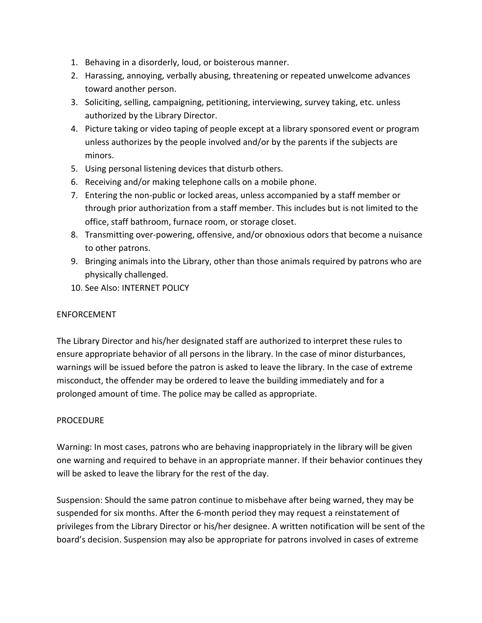- 1. Behaving in a disorderly, loud, or boisterous manner.
- 2. Harassing, annoying, verbally abusing, threatening or repeated unwelcome advances toward another person.
- 3. Soliciting, selling, campaigning, petitioning, interviewing, survey taking, etc. unless authorized by the Library Director.
- 4. Picture taking or video taping of people except at a library sponsored event or program unless authorizes by the people involved and/or by the parents if the subjects are minors.
- 5. Using personal listening devices that disturb others.
- 6. Receiving and/or making telephone calls on a mobile phone.
- 7. Entering the non-public or locked areas, unless accompanied by a staff member or through prior authorization from a staff member. This includes but is not limited to the office, staff bathroom, furnace room, or storage closet.
- 8. Transmitting over-powering, offensive, and/or obnoxious odors that become a nuisance to other patrons.
- 9. Bringing animals into the Library, other than those animals required by patrons who are physically challenged.
- 10. See Also: INTERNET POLICY

#### ENFORCEMENT

The Library Director and his/her designated staff are authorized to interpret these rules to ensure appropriate behavior of all persons in the library. In the case of minor disturbances, warnings will be issued before the patron is asked to leave the library. In the case of extreme misconduct, the offender may be ordered to leave the building immediately and for a prolonged amount of time. The police may be called as appropriate.

#### PROCEDURE

Warning: In most cases, patrons who are behaving inappropriately in the library will be given one warning and required to behave in an appropriate manner. If their behavior continues they will be asked to leave the library for the rest of the day.

Suspension: Should the same patron continue to misbehave after being warned, they may be suspended for six months. After the 6-month period they may request a reinstatement of privileges from the Library Director or his/her designee. A written notification will be sent of the board's decision. Suspension may also be appropriate for patrons involved in cases of extreme